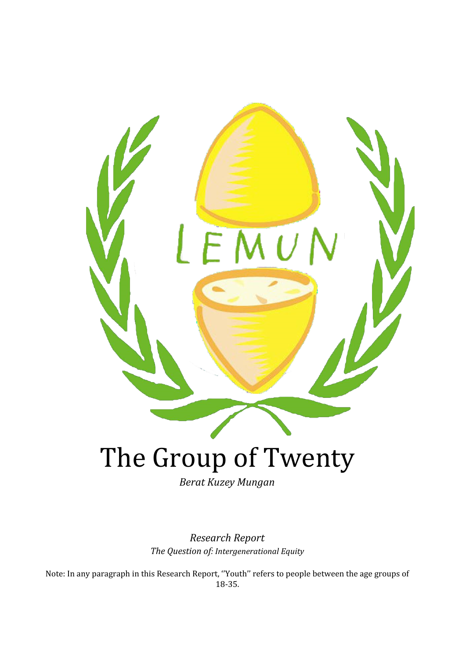

*Berat Kuzey Mungan*

*Research Report The Question of: Intergenerational Equity*

Note: In any paragraph in this Research Report, ''Youth'' refers to people between the age groups of 18-35.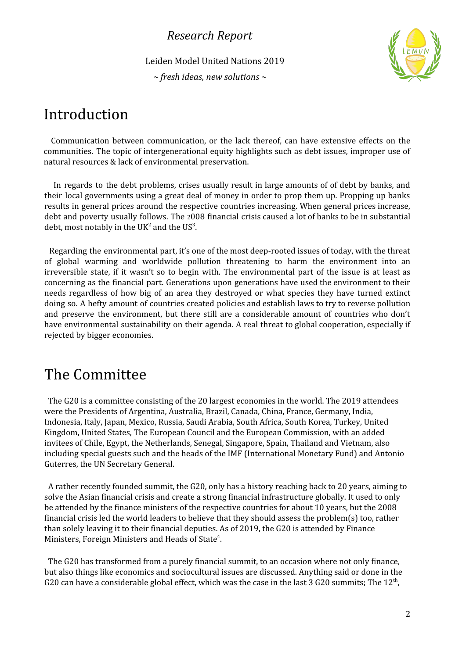Leiden Model United Nations 2019

*~ fresh ideas, new solutions ~*



## Introduction

Communication between communication, or the lack thereof, can have extensive effects on the communities. The topic of intergenerational equity highlights such as debt issues, improper use of natural resources & lack of environmental preservation.

In regards to the debt problems, crises usually result in large amounts of of debt by banks, and their local governments using a great deal of money in order to prop them up. Propping up banks results in general prices around the respective countries increasing. When general prices increase, debt and poverty usually follows. The 2008 financial crisis caused a lot of banks to be in substantial debt, most notably in the UK<sup>2</sup> and the US<sup>3</sup>.

Regarding the environmental part, it's one of the most deep-rooted issues of today, with the threat of global warming and worldwide pollution threatening to harm the environment into an irreversible state, if it wasn't so to begin with. The environmental part of the issue is at least as concerning as the financial part. Generations upon generations have used the environment to their needs regardless of how big of an area they destroyed or what species they have turned extinct doing so. A hefty amount of countries created policies and establish laws to try to reverse pollution and preserve the environment, but there still are a considerable amount of countries who don't have environmental sustainability on their agenda. A real threat to global cooperation, especially if rejected by bigger economies.

## The Committee

The G20 is a committee consisting of the 20 largest economies in the world. The 2019 attendees were the Presidents of Argentina, Australia, Brazil, Canada, China, France, Germany, India, Indonesia, Italy, Japan, Mexico, Russia, Saudi Arabia, South Africa, South Korea, Turkey, United Kingdom, United States, The European Council and the European Commission, with an added invitees of Chile, Egypt, the Netherlands, Senegal, Singapore, Spain, Thailand and Vietnam, also including special guests such and the heads of the IMF (International Monetary Fund) and Antonio Guterres, the UN Secretary General.

A rather recently founded summit, the G20, only has a history reaching back to 20 years, aiming to solve the Asian financial crisis and create a strong financial infrastructure globally. It used to only be attended by the finance ministers of the respective countries for about 10 years, but the 2008 financial crisis led the world leaders to believe that they should assess the problem(s) too, rather than solely leaving it to their financial deputies. As of 2019, the G20 is attended by Finance Ministers, Foreign Ministers and Heads of State<sup>4</sup>.

The G20 has transformed from a purely financial summit, to an occasion where not only finance, but also things like economics and sociocultural issues are discussed. Anything said or done in the G20 can have a considerable global effect, which was the case in the last 3 G20 summits; The 12<sup>th</sup>,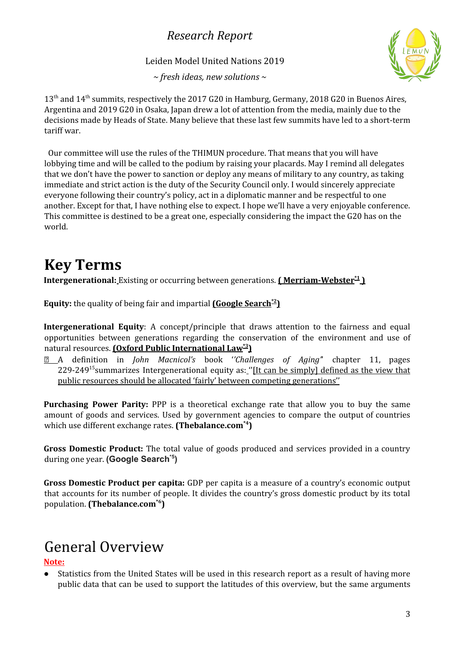Leiden Model United Nations 2019

*~ fresh ideas, new solutions ~*



13<sup>th</sup> and 14<sup>th</sup> summits, respectively the 2017 G20 in Hamburg, Germany, 2018 G20 in Buenos Aires, Argentina and 2019 G20 in Osaka, Japan drew a lot of attention from the media, mainly due to the decisions made by Heads of State. Many believe that these last few summits have led to a short-term tariff war.

Our committee will use the rules of the THIMUN procedure. That means that you will have lobbying time and will be called to the podium by raising your placards. May I remind all delegates that we don't have the power to sanction or deploy any means of military to any country, as taking immediate and strict action is the duty of the Security Council only. I would sincerely appreciate everyone following their country's policy, act in a diplomatic manner and be respectful to one another. Except for that, I have nothing else to expect. I hope we'll have a very enjoyable conference. This committee is destined to be a great one, especially considering the impact the G20 has on the world.

# **Key Terms**

**Intergenerational:** Existing or occurring between generations. **( Merriam-Webster \*1 )**

**Equity:** the quality of being fair and impartial **(Google Search \*2 )**

**Intergenerational Equity**: A concept/principle that draws attention to the fairness and equal opportunities between generations regarding the conservation of the environment and use of natural resources. **(Oxford Public International Law \*3 )**

 A definition in *John Macnicol's* book '*'Challenges of Aging'*' chapter 11, pages 229-249<sup>15</sup> summarizes Intergenerational equity as: "[It can be simply] defined as the view that public resources should be allocated 'fairly' between competing generations''

**Purchasing Power Parity:** PPP is a theoretical exchange rate that allow you to buy the same amount of goods and services. Used by government agencies to compare the output of countries which use different exchange rates. **(Thebalance.com\*4 )**

**Gross Domestic Product:** The total value of goods produced and services provided in a country during one year. **(Google Search \*5 )**

**Gross Domestic Product per capita:** GDP per capita is a measure of a country's economic output that accounts for its number of people. It divides the country's gross domestic product by its total population. **(Thebalance.com\*6 )**

# General Overview

#### **Note:**

• Statistics from the United States will be used in this research report as a result of having more public data that can be used to support the latitudes of this overview, but the same arguments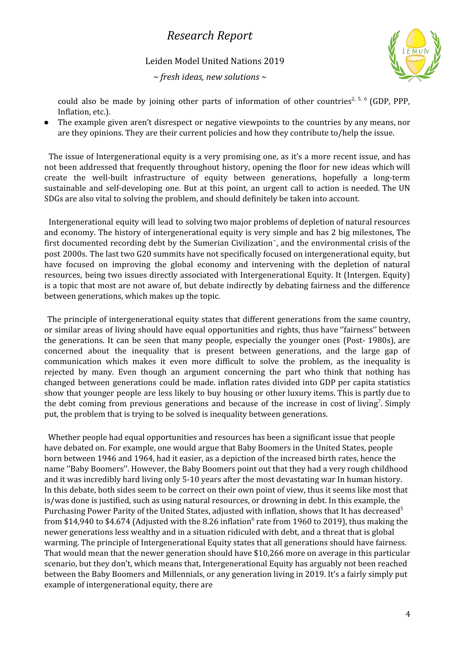Leiden Model United Nations 2019

*~ fresh ideas, new solutions ~*



could also be made by joining other parts of information of other countries<sup>2, 5, 6</sup> (GDP, PPP, Inflation, etc.).

The example given aren't disrespect or negative viewpoints to the countries by any means, nor are they opinions. They are their current policies and how they contribute to/help the issue.

The issue of Intergenerational equity is a very promising one, as it's a more recent issue, and has not been addressed that frequently throughout history, opening the floor for new ideas which will create the well-built infrastructure of equity between generations, hopefully a long-term sustainable and self-developing one. But at this point, an urgent call to action is needed. The UN SDGs are also vital to solving the problem, and should definitely be taken into account.

Intergenerational equity will lead to solving two major problems of depletion of natural resources and economy. The history of intergenerational equity is very simple and has 2 big milestones, The first documented recording debt by the Sumerian Civilization~, and the environmental crisis of the post 2000s. The last two G20 summits have not specifically focused on intergenerational equity, but have focused on improving the global economy and intervening with the depletion of natural resources, being two issues directly associated with Intergenerational Equity. It (Intergen. Equity) is a topic that most are not aware of, but debate indirectly by debating fairness and the difference between generations, which makes up the topic.

The principle of intergenerational equity states that different generations from the same country, or similar areas of living should have equal opportunities and rights, thus have ''fairness'' between the generations. It can be seen that many people, especially the younger ones (Post- 1980s), are concerned about the inequality that is present between generations, and the large gap of communication which makes it even more difficult to solve the problem, as the inequality is rejected by many. Even though an argument concerning the part who think that nothing has changed between generations could be made. inflation rates divided into GDP per capita statistics show that younger people are less likely to buy housing or other luxury items. This is partly due to the debt coming from previous generations and because of the increase in cost of living<sup>7</sup>. Simply put, the problem that is trying to be solved is inequality between generations.

Whether people had equal opportunities and resources has been a significant issue that people have debated on. For example, one would argue that Baby Boomers in the United States, people born between 1946 and 1964, had it easier, as a depiction of the increased birth rates, hence the name ''Baby Boomers''. However, the Baby Boomers point out that they had a very rough childhood and it was incredibly hard living only 5-10 years after the most devastating war In human history. In this debate, both sides seem to be correct on their own point of view, thus it seems like most that is/was done is justified, such as using natural resources, or drowning in debt. In this example, the Purchasing Power Parity of the United States, adjusted with inflation, shows that It has decreased<sup>5</sup> from \$14,940 to \$4.674 (Adjusted with the 8.26 inflation $^6$  rate from 1960 to 2019), thus making the newer generations less wealthy and in a situation ridiculed with debt, and a threat that is global warming. The principle of Intergenerational Equity states that all generations should have fairness. That would mean that the newer generation should have \$10,266 more on average in this particular scenario, but they don't, which means that, Intergenerational Equity has arguably not been reached between the Baby Boomers and Millennials, or any generation living in 2019. It's a fairly simply put example of intergenerational equity, there are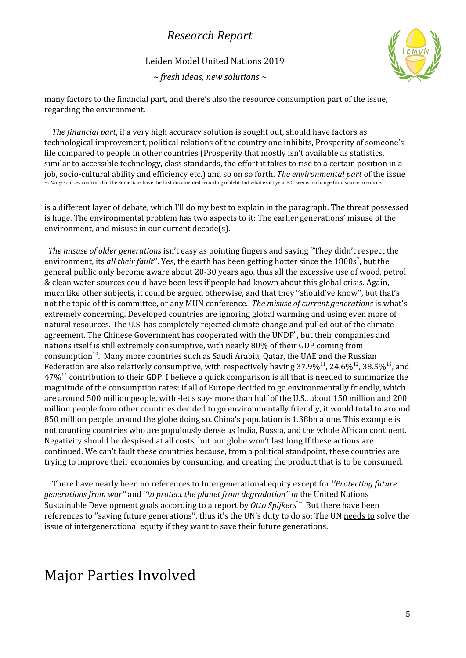Leiden Model United Nations 2019

*~ fresh ideas, new solutions ~*



many factors to the financial part, and there's also the resource consumption part of the issue, regarding the environment.

*The financial part*, if a very high accuracy solution is sought out, should have factors as technological improvement, political relations of the country one inhibits, Prosperity of someone's life compared to people in other countries (Prosperity that mostly isn't available as statistics, similar to accessible technology, class standards, the effort it takes to rise to a certain position in a job, socio-cultural ability and efficiency etc.) and so on so forth. *The environmental part* of the issue ~*: Many* sources confirm that the Sumerians have the first documented recording of debt, but what exact year B.C. seems to change from source to source.

is a different layer of debate, which I'll do my best to explain in the paragraph. The threat possessed is huge. The environmental problem has two aspects to it: The earlier generations' misuse of the environment, and misuse in our current decade(s).

*The misuse of older generations* isn't easy as pointing fingers and saying ''They didn't respect the environment, its *all their fault*''. Yes, the earth has been getting hotter since the 1800s 7 , but the general public only become aware about 20-30 years ago, thus all the excessive use of wood, petrol & clean water sources could have been less if people had known about this global crisis. Again, much like other subjects, it could be argued otherwise, and that they ''should've know'', but that's not the topic of this committee, or any MUN conference*. The misuse of current generations* is what's extremely concerning. Developed countries are ignoring global warming and using even more of natural resources. The U.S. has completely rejected climate change and pulled out of the climate agreement. The Chinese Government has cooperated with the UNDP<sup>9</sup>, but their companies and nations itself is still extremely consumptive, with nearly 80% of their GDP coming from consumption<sup>10</sup>. Many more countries such as Saudi Arabia, Qatar, the UAE and the Russian Federation are also relatively consumptive, with respectively having 37.9%<sup>11</sup>, 24.6%<sup>12</sup>, 38.5%<sup>13</sup>, and  $47\%$ <sup>14</sup> contribution to their GDP. I believe a quick comparison is all that is needed to summarize the magnitude of the consumption rates: If all of Europe decided to go environmentally friendly, which are around 500 million people, with -let's say- more than half of the U.S., about 150 million and 200 million people from other countries decided to go environmentally friendly, it would total to around 850 million people around the globe doing so. China's population is 1.38bn alone. This example is not counting countries who are populously dense as India, Russia, and the whole African continent. Negativity should be despised at all costs, but our globe won't last long If these actions are continued. We can't fault these countries because, from a political standpoint, these countries are trying to improve their economies by consuming, and creating the product that is to be consumed.

There have nearly been no references to Intergenerational equity except for '*'Protecting future generations from war''* and '*'to protect the planet from degradation'' in* the United Nations Sustainable Development goals according to a report by *Otto Spijkers*\*~. But there have been references to ''saving future generations'', thus it's the UN's duty to do so; The UN needs to solve the issue of intergenerational equity if they want to save their future generations.

## Major Parties Involved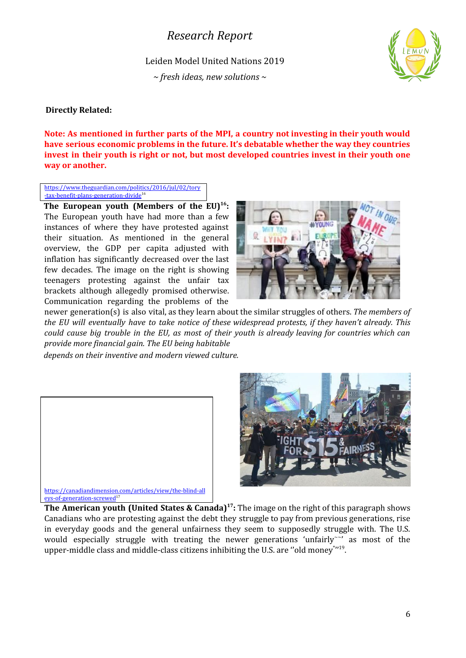Leiden Model United Nations 2019

*~ fresh ideas, new solutions ~*



#### **Directly Related:**

**Note: As mentioned in further parts of the MPI, a country not investing in their youth would have serious economic problems in the future. It's debatable whether the way they countries invest in their youth is right or not, but most developed countries invest in their youth one way or another.**

[https://www.theguardian.com/politics/2016/jul/02/tory](https://www.theguardian.com/politics/2016/jul/02/tory-tax-benefit-plans-generation-divide) [-tax-benefit-plans-generation-divide](https://www.theguardian.com/politics/2016/jul/02/tory-tax-benefit-plans-generation-divide)<sup>16</sup>

**The European youth (Members of the EU) 16 :** The European youth have had more than a few instances of where they have protested against their situation. As mentioned in the general overview, the GDP per capita adjusted with inflation has significantly decreased over the last few decades. The image on the right is showing teenagers protesting against the unfair tax brackets although allegedly promised otherwise. Communication regarding the problems of the



newer generation(s) is also vital, as they learn about the similar struggles of others. *The members of the EU will eventually have to take notice of these widespread protests, if they haven't already. This* could cause big trouble in the EU, as most of their youth is already leaving for countries which can *provide more financial gain. The EU being habitable*

*depends on their inventive and modern viewed culture.*





**The American youth (United States & Canada)<sup>17</sup>: The image on the right of this paragraph shows** Canadians who are protesting against the debt they struggle to pay from previous generations, rise in everyday goods and the general unfairness they seem to supposedly struggle with. The U.S. would especially struggle with treating the newer generations 'unfairly~" as most of the upper-middle class and middle-class citizens inhibiting the U.S. are "old money\*"<sup>19</sup>.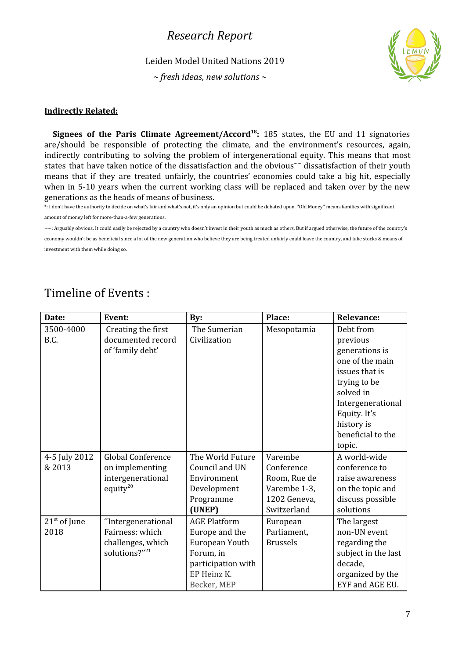Leiden Model United Nations 2019

*~ fresh ideas, new solutions ~*



#### **Indirectly Related:**

**Signees of the Paris Climate Agreement/Accord 18 :** 185 states, the EU and 11 signatories are/should be responsible of protecting the climate, and the environment's resources, again, indirectly contributing to solving the problem of intergenerational equity. This means that most states that have taken notice of the dissatisfaction and the obvious $\tilde{ }$  dissatisfaction of their youth means that if they are treated unfairly, the countries' economies could take a big hit, especially when in 5-10 years when the current working class will be replaced and taken over by the new generations as the heads of means of business.

\*: I don't have the authority to decide on what's fair and what's not, it's only an opinion but could be debated upon. ''Old Money'' means families with significant amount of money left for more-than-a-few generations.

 $\sim$  : Arguably obvious. It could easily be rejected by a country who doesn't invest in their youth as much as others. But if argued otherwise, the future of the country's

economy wouldn't be as beneficial since a lot of the new generation who believe they are being treated unfairly could leave the country, and take stocks & means of investment with them while doing so.

|  | Timeline of Events: |  |  |  |  |  |
|--|---------------------|--|--|--|--|--|
|--|---------------------|--|--|--|--|--|

| Date:          | Event:             | By:                 | Place:          | <b>Relevance:</b>   |
|----------------|--------------------|---------------------|-----------------|---------------------|
| 3500-4000      | Creating the first | The Sumerian        | Mesopotamia     | Debt from           |
| B.C.           | documented record  | Civilization        |                 | previous            |
|                | of 'family debt'   |                     |                 | generations is      |
|                |                    |                     |                 | one of the main     |
|                |                    |                     |                 | issues that is      |
|                |                    |                     |                 | trying to be        |
|                |                    |                     |                 | solved in           |
|                |                    |                     |                 | Intergenerational   |
|                |                    |                     |                 | Equity. It's        |
|                |                    |                     |                 | history is          |
|                |                    |                     |                 | beneficial to the   |
|                |                    |                     |                 | topic.              |
| 4-5 July 2012  | Global Conference  | The World Future    | Varembe         | A world-wide        |
| & 2013         | on implementing    | Council and UN      | Conference      | conference to       |
|                | intergenerational  | Environment         | Room, Rue de    | raise awareness     |
|                | equity $20$        | Development         | Varembe 1-3,    | on the topic and    |
|                |                    | Programme           | 1202 Geneva,    | discuss possible    |
|                |                    | (UNEP)              | Switzerland     | solutions           |
| $21st$ of June | "Intergenerational | <b>AGE Platform</b> | European        | The largest         |
| 2018           | Fairness: which    | Europe and the      | Parliament,     | non-UN event        |
|                | challenges, which  | European Youth      | <b>Brussels</b> | regarding the       |
|                | solutions?"21      | Forum, in           |                 | subject in the last |
|                |                    | participation with  |                 | decade,             |
|                |                    | EP Heinz K.         |                 | organized by the    |
|                |                    | Becker, MEP         |                 | EYF and AGE EU.     |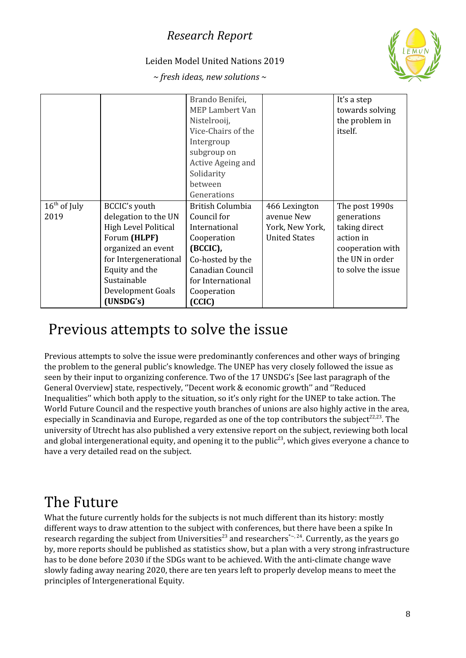#### Leiden Model United Nations 2019



*~ fresh ideas, new solutions ~*

|                |                       | Brando Benifei,<br><b>MEP Lambert Van</b><br>Nistelrooij,<br>Vice-Chairs of the<br>Intergroup<br>subgroup on |                      | It's a step<br>towards solving<br>the problem in<br>itself. |
|----------------|-----------------------|--------------------------------------------------------------------------------------------------------------|----------------------|-------------------------------------------------------------|
|                |                       | Active Ageing and<br>Solidarity                                                                              |                      |                                                             |
|                |                       | between                                                                                                      |                      |                                                             |
|                |                       | Generations                                                                                                  |                      |                                                             |
| $16th$ of July | BCCIC's youth         | British Columbia                                                                                             | 466 Lexington        | The post 1990s                                              |
| 2019           | delegation to the UN  | Council for                                                                                                  | avenue New           | generations                                                 |
|                | High Level Political  | International                                                                                                | York, New York,      | taking direct                                               |
|                | Forum (HLPF)          | Cooperation                                                                                                  | <b>United States</b> | action in                                                   |
|                | organized an event    | (BCCIC),                                                                                                     |                      | cooperation with                                            |
|                | for Intergenerational | Co-hosted by the                                                                                             |                      | the UN in order                                             |
|                | Equity and the        | Canadian Council                                                                                             |                      | to solve the issue                                          |
|                | Sustainable           | for International                                                                                            |                      |                                                             |
|                | Development Goals     | Cooperation                                                                                                  |                      |                                                             |
|                | (UNSDG's)             | (CCIC)                                                                                                       |                      |                                                             |

# Previous attempts to solve the issue

Previous attempts to solve the issue were predominantly conferences and other ways of bringing the problem to the general public's knowledge. The UNEP has very closely followed the issue as seen by their input to organizing conference. Two of the 17 UNSDG's [See last paragraph of the General Overview] state, respectively, ''Decent work & economic growth'' and ''Reduced Inequalities'' which both apply to the situation, so it's only right for the UNEP to take action. The World Future Council and the respective youth branches of unions are also highly active in the area, especially in Scandinavia and Europe, regarded as one of the top contributors the subject<sup>22,23</sup>. The university of Utrecht has also published a very extensive report on the subject, reviewing both local and global intergenerational equity, and opening it to the public<sup>23</sup>, which gives everyone a chance to have a very detailed read on the subject.

## The Future

What the future currently holds for the subjects is not much different than its history: mostly different ways to draw attention to the subject with conferences, but there have been a spike In research regarding the subject from Universities<sup>23</sup> and researchers\*~,<sup>24</sup>. Currently, as the years go by, more reports should be published as statistics show, but a plan with a very strong infrastructure has to be done before 2030 if the SDGs want to be achieved. With the anti-climate change wave slowly fading away nearing 2020, there are ten years left to properly develop means to meet the principles of Intergenerational Equity.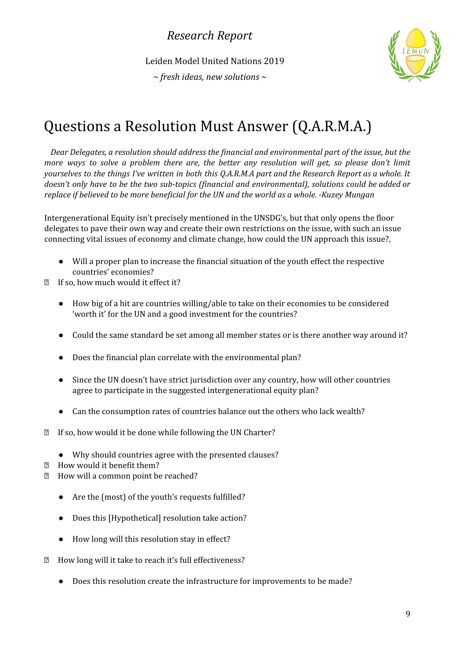Leiden Model United Nations 2019

*~ fresh ideas, new solutions ~*



# Questions a Resolution Must Answer (Q.A.R.M.A.)

*Dear Delegates, a resolution should address the financial and environmental part of the issue, but the more ways to solve a problem there are, the better any resolution will get, so please don't limit* yourselves to the things I've written in both this Q.A.R.M.A part and the Research Report as a whole. It *doesn't only have to be the two sub-topics (financial and environmental), solutions could be added or replace if believed to be more beneficial for the UN and the world as a whole. -Kuzey Mungan*

Intergenerational Equity isn't precisely mentioned in the UNSDG's, but that only opens the floor delegates to pave their own way and create their own restrictions on the issue, with such an issue connecting vital issues of economy and climate change, how could the UN approach this issue?,

- Will a proper plan to increase the financial situation of the youth effect the respective countries' economies?
- If so, how much would it effect it?
	- How big of a hit are countries willing/able to take on their economies to be considered 'worth it' for the UN and a good investment for the countries?
	- Could the same standard be set among all member states or is there another way around it?
	- Does the financial plan correlate with the environmental plan?
	- Since the UN doesn't have strict jurisdiction over any country, how will other countries agree to participate in the suggested intergenerational equity plan?
	- Can the consumption rates of countries balance out the others who lack wealth?
- **■** If so, how would it be done while following the UN Charter?
	- Why should countries agree with the presented clauses?
- **E** How would it benefit them?
- **E** How will a common point be reached?
	- Are the (most) of the youth's requests fulfilled?
	- Does this [Hypothetical] resolution take action?
	- How long will this resolution stay in effect?
- How long will it take to reach it's full effectiveness?
	- Does this resolution create the infrastructure for improvements to be made?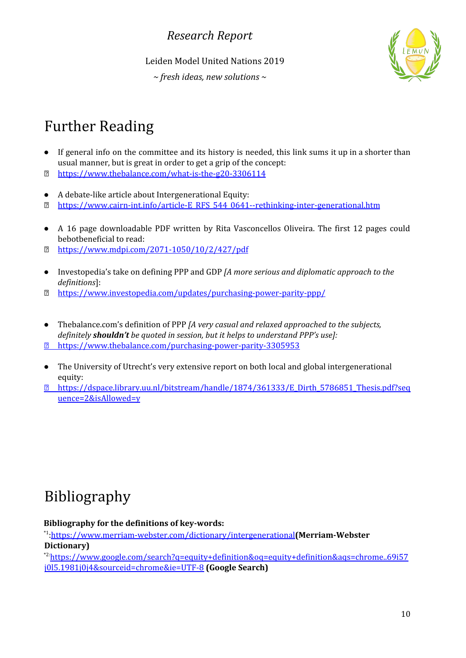Leiden Model United Nations 2019

*~ fresh ideas, new solutions ~*



# Further Reading

- If general info on the committee and its history is needed, this link sums it up in a shorter than usual manner, but is great in order to get a grip of the concept:
- <https://www.thebalance.com/what-is-the-g20-3306114>
- A debate-like article about Intergenerational Equity:
- [https://www.cairn-int.info/article-E\\_RFS\\_544\\_0641--rethinking-inter-generational.htm](https://www.cairn-int.info/article-E_RFS_544_0641--rethinking-inter-generational.htm)
- A 16 page downloadable PDF written by Rita Vasconcellos Oliveira. The first 12 pages could bebotbeneficial to read:
- <https://www.mdpi.com/2071-1050/10/2/427/pdf>
- Investopedia's take on defining PPP and GDP *[A more serious and diplomatic approach to the definitions*]:
- <https://www.investopedia.com/updates/purchasing-power-parity-ppp/>
- *●* Thebalance.com's definition of PPP *[A very casual and relaxed approached to the subjects, definitely shouldn't be quoted in session, but it helps to understand PPP's use]:* <https://www.thebalance.com/purchasing-power-parity-3305953>
- *●* The University of Utrecht's very extensive report on both local and global intergenerational equity:
- [https://dspace.library.uu.nl/bitstream/handle/1874/361333/E\\_Dirth\\_5786851\\_Thesis.pdf?seq](https://dspace.library.uu.nl/bitstream/handle/1874/361333/E_Dirth_5786851_Thesis.pdf?sequence=2&isAllowed=y) [uence=2&isAllowed=y](https://dspace.library.uu.nl/bitstream/handle/1874/361333/E_Dirth_5786851_Thesis.pdf?sequence=2&isAllowed=y)

# Bibliography

**Bibliography for the definitions of key-words:**

\*1 [:https://www.merriam-webster.com/dictionary/intergenerational](https://www.merriam-webster.com/dictionary/intergenerational)**(Merriam-Webster Dictionary)**

\*2:[https://www.google.com/search?q=equity+definition&oq=equity+definition&aqs=chrome..69i57](https://www.google.com/search?q=equity+definition&oq=equity+definition&aqs=chrome..69i57j0l5.1981j0j4&sourceid=chrome&ie=UTF-8) [j0l5.1981j0j4&sourceid=chrome&ie=UTF-8](https://www.google.com/search?q=equity+definition&oq=equity+definition&aqs=chrome..69i57j0l5.1981j0j4&sourceid=chrome&ie=UTF-8) **(Google Search)**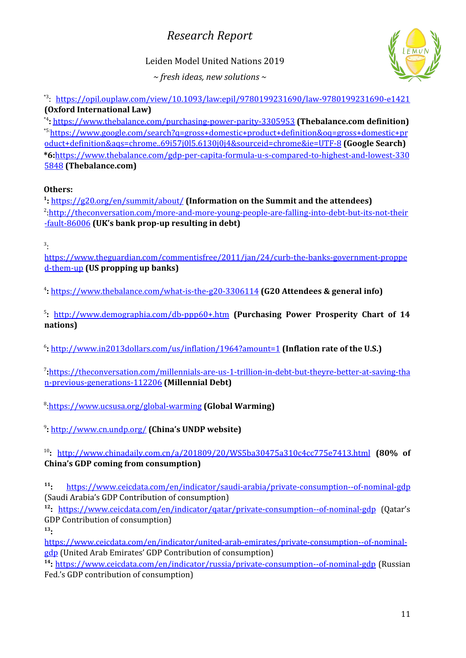#### Leiden Model United Nations 2019

*~ fresh ideas, new solutions ~*



\*3 : <https://opil.ouplaw.com/view/10.1093/law:epil/9780199231690/law-9780199231690-e1421> **(Oxford International Law)**

\*4 **:** <https://www.thebalance.com/purchasing-power-parity-3305953> **(Thebalance.com definition)** \*5:[https://www.google.com/search?q=gross+domestic+product+definition&oq=gross+domestic+pr](https://www.google.com/search?q=gross+domestic+product+definition&oq=gross+domestic+product+definition&aqs=chrome..69i57j0l5.6130j0j4&sourceid=chrome&ie=UTF-8) [oduct+definition&aqs=chrome..69i57j0l5.6130j0j4&sourceid=chrome&ie=UTF-8](https://www.google.com/search?q=gross+domestic+product+definition&oq=gross+domestic+product+definition&aqs=chrome..69i57j0l5.6130j0j4&sourceid=chrome&ie=UTF-8) **(Google Search) \*6:**[https://www.thebalance.com/gdp-per-capita-formula-u-s-compared-to-highest-and-lowest-330](https://www.thebalance.com/gdp-per-capita-formula-u-s-compared-to-highest-and-lowest-3305848) [5848](https://www.thebalance.com/gdp-per-capita-formula-u-s-compared-to-highest-and-lowest-3305848) **(Thebalance.com)**

#### **Others:**

**1 :** <https://g20.org/en/summit/about/> **(Information on the Summit and the attendees)** <sup>2</sup>[:http://theconversation.com/more-and-more-young-people-are-falling-into-debt-but-its-not-their](http://theconversation.com/more-and-more-young-people-are-falling-into-debt-but-its-not-their-fault-86006) [-fault-86006](http://theconversation.com/more-and-more-young-people-are-falling-into-debt-but-its-not-their-fault-86006) **(UK's bank prop-up resulting in debt)**

3 :

[https://www.theguardian.com/commentisfree/2011/jan/24/curb-the-banks-government-proppe](https://www.theguardian.com/commentisfree/2011/jan/24/curb-the-banks-government-propped-them-up) [d-them-up](https://www.theguardian.com/commentisfree/2011/jan/24/curb-the-banks-government-propped-them-up) **(US propping up banks)**

4 **:** <https://www.thebalance.com/what-is-the-g20-3306114> **(G20 Attendees & general info)**

5 **:** <http://www.demographia.com/db-ppp60+.htm> **(Purchasing Power Prosperity Chart of 14 nations)**

6 **:** <http://www.in2013dollars.com/us/inflation/1964?amount=1> **(Inflation rate of the U.S.)**

7 **:**[https://theconversation.com/millennials-are-us-1-trillion-in-debt-but-theyre-better-at-saving-tha](https://theconversation.com/millennials-are-us-1-trillion-in-debt-but-theyre-better-at-saving-than-previous-generations-112206) [n-previous-generations-112206](https://theconversation.com/millennials-are-us-1-trillion-in-debt-but-theyre-better-at-saving-than-previous-generations-112206) **(Millennial Debt)**

8 [:https://www.ucsusa.org/global-warming](https://www.ucsusa.org/global-warming) **(Global Warming)**

9 **:** <http://www.cn.undp.org/> **(China's UNDP website)**

10 **:** <http://www.chinadaily.com.cn/a/201809/20/WS5ba30475a310c4cc775e7413.html> **(80% of China's GDP coming from consumption)**

**11 :** <https://www.ceicdata.com/en/indicator/saudi-arabia/private-consumption--of-nominal-gdp> (Saudi Arabia's GDP Contribution of consumption)

<sup>12</sup>: <u><https://www.ceicdata.com/en/indicator/qatar/private-consumption--of-nominal-gdp></u> (Qatar's GDP Contribution of consumption)

**13 :**

[https://www.ceicdata.com/en/indicator/united-arab-emirates/private-consumption--of-nominal](https://www.ceicdata.com/en/indicator/united-arab-emirates/private-consumption--of-nominal-gdp)[gdp](https://www.ceicdata.com/en/indicator/united-arab-emirates/private-consumption--of-nominal-gdp) (United Arab Emirates' GDP Contribution of consumption)

<sup>14</sup>: <https://www.ceicdata.com/en/indicator/russia/private-consumption--of-nominal-gdp> (Russian Fed.'s GDP contribution of consumption)